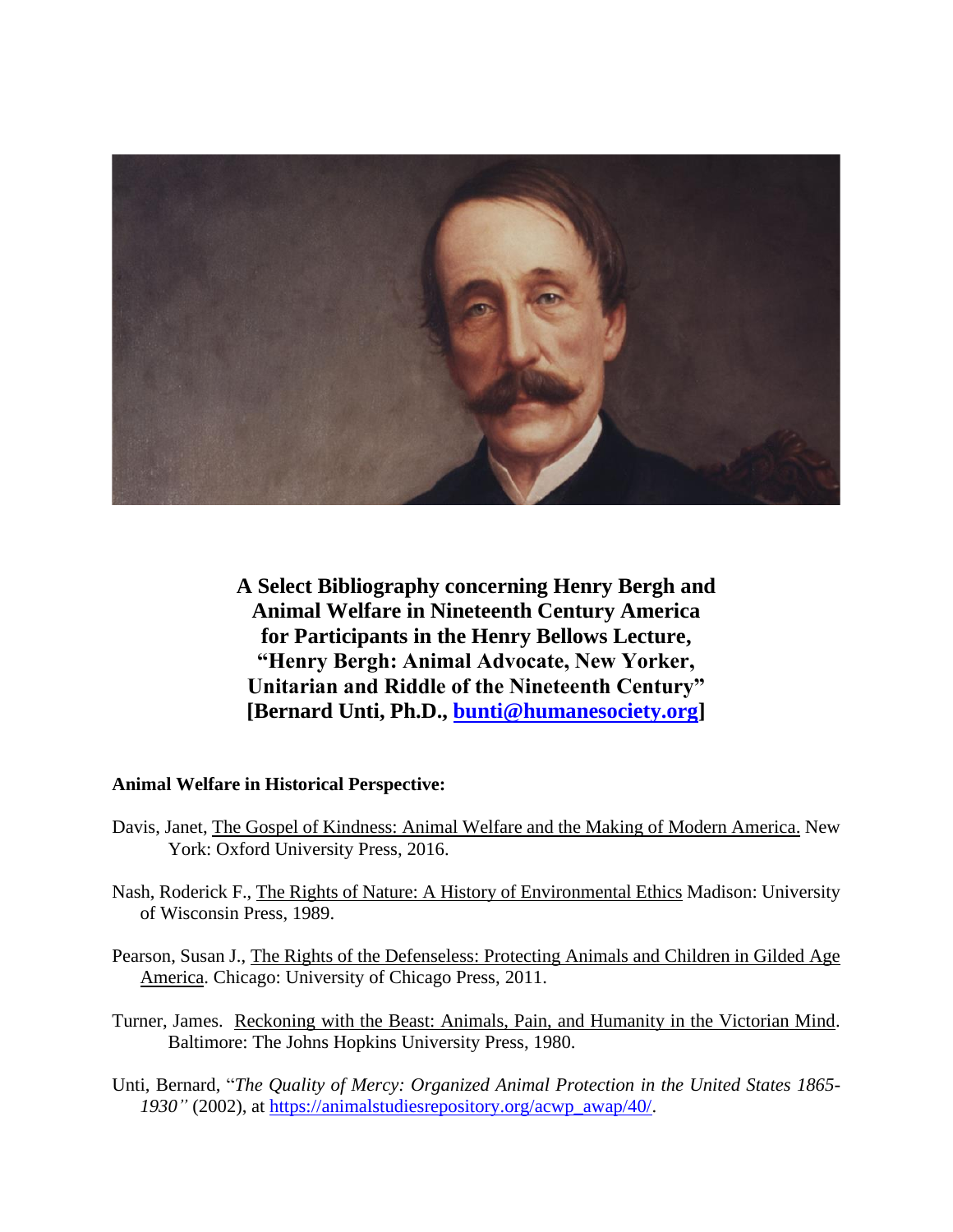

**A Select Bibliography concerning Henry Bergh and Animal Welfare in Nineteenth Century America for Participants in the Henry Bellows Lecture, "Henry Bergh: Animal Advocate, New Yorker, Unitarian and Riddle of the Nineteenth Century" [Bernard Unti, Ph.D., [bunti@humanesociety.org\]](mailto:bunti@humanesociety.org)**

### **Animal Welfare in Historical Perspective:**

- Davis, Janet, The Gospel of Kindness: Animal Welfare and the Making of Modern America. New York: Oxford University Press, 2016.
- Nash, Roderick F., The Rights of Nature: A History of Environmental Ethics Madison: University of Wisconsin Press, 1989.
- Pearson, Susan J., The Rights of the Defenseless: Protecting Animals and Children in Gilded Age America. Chicago: University of Chicago Press, 2011.
- Turner, James. Reckoning with the Beast: Animals, Pain, and Humanity in the Victorian Mind. Baltimore: The Johns Hopkins University Press, 1980.
- Unti, Bernard, "*The Quality of Mercy: Organized Animal Protection in the United States 1865- 1930"* (2002), at [https://animalstudiesrepository.org/acwp\\_awap/40/.](https://animalstudiesrepository.org/acwp_awap/40/)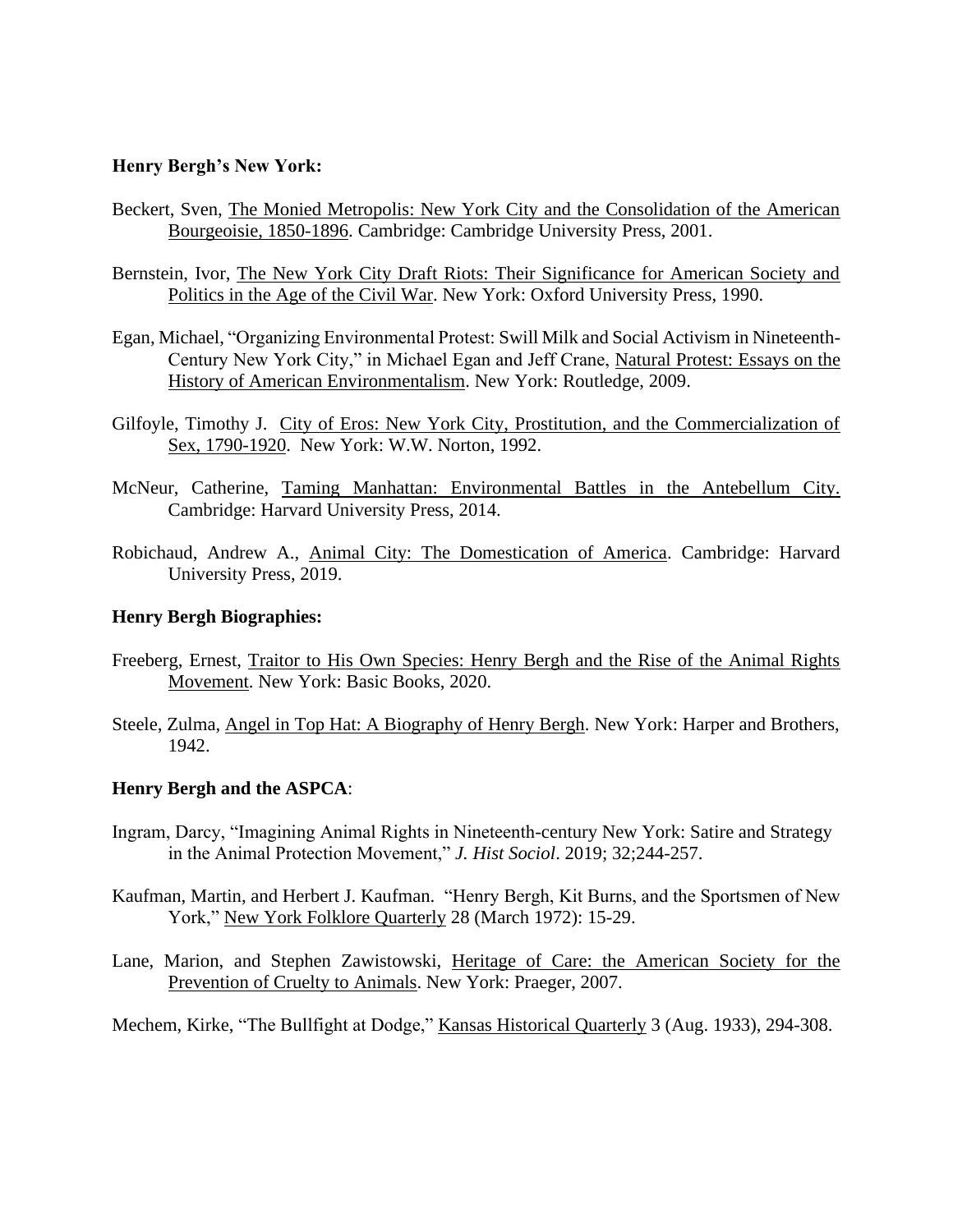#### **Henry Bergh's New York:**

- Beckert, Sven, The Monied Metropolis: New York City and the Consolidation of the American Bourgeoisie, 1850-1896. Cambridge: Cambridge University Press, 2001.
- Bernstein, Ivor, The New York City Draft Riots: Their Significance for American Society and Politics in the Age of the Civil War. New York: Oxford University Press, 1990.
- Egan, Michael, "Organizing Environmental Protest: Swill Milk and Social Activism in Nineteenth-Century New York City," in Michael Egan and Jeff Crane, Natural Protest: Essays on the History of American Environmentalism. New York: Routledge, 2009.
- Gilfoyle, Timothy J. City of Eros: New York City, Prostitution, and the Commercialization of Sex, 1790-1920. New York: W.W. Norton, 1992.
- McNeur, Catherine, Taming Manhattan: Environmental Battles in the Antebellum City. Cambridge: Harvard University Press, 2014.
- Robichaud, Andrew A., Animal City: The Domestication of America. Cambridge: Harvard University Press, 2019.

#### **Henry Bergh Biographies:**

- Freeberg, Ernest, Traitor to His Own Species: Henry Bergh and the Rise of the Animal Rights Movement. New York: Basic Books, 2020.
- Steele, Zulma, Angel in Top Hat: A Biography of Henry Bergh. New York: Harper and Brothers, 1942.

#### **Henry Bergh and the ASPCA**:

- Ingram, Darcy, "Imagining Animal Rights in Nineteenth-century New York: Satire and Strategy in the Animal Protection Movement," *J. Hist Sociol*. 2019; 32;244-257.
- Kaufman, Martin, and Herbert J. Kaufman. "Henry Bergh, Kit Burns, and the Sportsmen of New York," New York Folklore Quarterly 28 (March 1972): 15-29.
- Lane, Marion, and Stephen Zawistowski, Heritage of Care: the American Society for the Prevention of Cruelty to Animals. New York: Praeger, 2007.

Mechem, Kirke, "The Bullfight at Dodge," Kansas Historical Quarterly 3 (Aug. 1933), 294-308.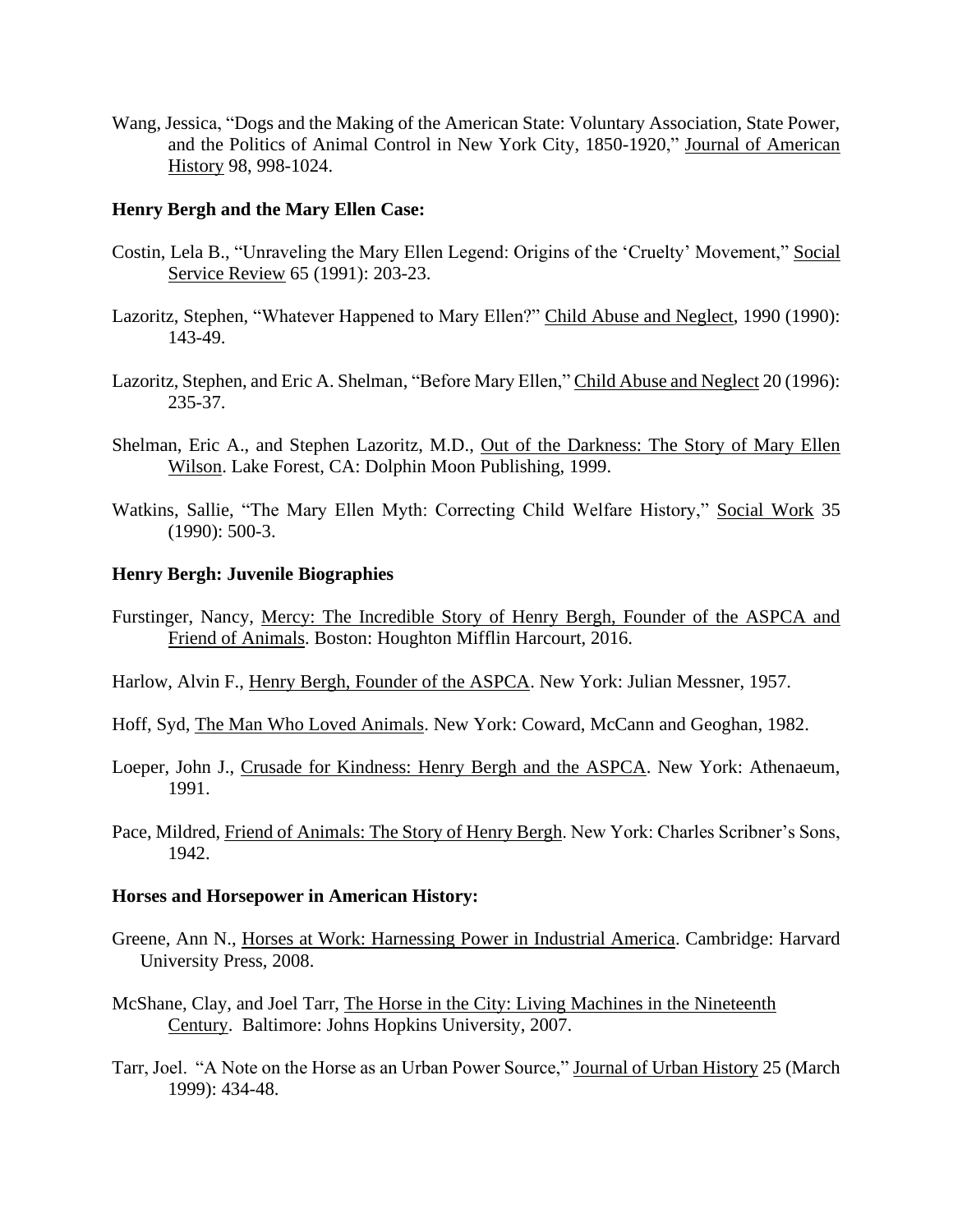Wang, Jessica, "Dogs and the Making of the American State: Voluntary Association, State Power, and the Politics of Animal Control in New York City, 1850-1920," Journal of American History 98, 998-1024.

#### **Henry Bergh and the Mary Ellen Case:**

- Costin, Lela B., "Unraveling the Mary Ellen Legend: Origins of the 'Cruelty' Movement," Social Service Review 65 (1991): 203-23.
- Lazoritz, Stephen, "Whatever Happened to Mary Ellen?" Child Abuse and Neglect, 1990 (1990): 143-49.
- Lazoritz, Stephen, and Eric A. Shelman, "Before Mary Ellen," Child Abuse and Neglect 20 (1996): 235-37.
- Shelman, Eric A., and Stephen Lazoritz, M.D., Out of the Darkness: The Story of Mary Ellen Wilson. Lake Forest, CA: Dolphin Moon Publishing, 1999.
- Watkins, Sallie, "The Mary Ellen Myth: Correcting Child Welfare History," Social Work 35 (1990): 500-3.

#### **Henry Bergh: Juvenile Biographies**

- Furstinger, Nancy, Mercy: The Incredible Story of Henry Bergh, Founder of the ASPCA and Friend of Animals. Boston: Houghton Mifflin Harcourt, 2016.
- Harlow, Alvin F., Henry Bergh, Founder of the ASPCA. New York: Julian Messner, 1957.
- Hoff, Syd, The Man Who Loved Animals. New York: Coward, McCann and Geoghan, 1982.
- Loeper, John J., Crusade for Kindness: Henry Bergh and the ASPCA. New York: Athenaeum, 1991.
- Pace, Mildred, Friend of Animals: The Story of Henry Bergh. New York: Charles Scribner's Sons, 1942.

### **Horses and Horsepower in American History:**

- Greene, Ann N., Horses at Work: Harnessing Power in Industrial America. Cambridge: Harvard University Press, 2008.
- McShane, Clay, and Joel Tarr, The Horse in the City: Living Machines in the Nineteenth Century. Baltimore: Johns Hopkins University, 2007.
- Tarr, Joel. "A Note on the Horse as an Urban Power Source," Journal of Urban History 25 (March 1999): 434-48.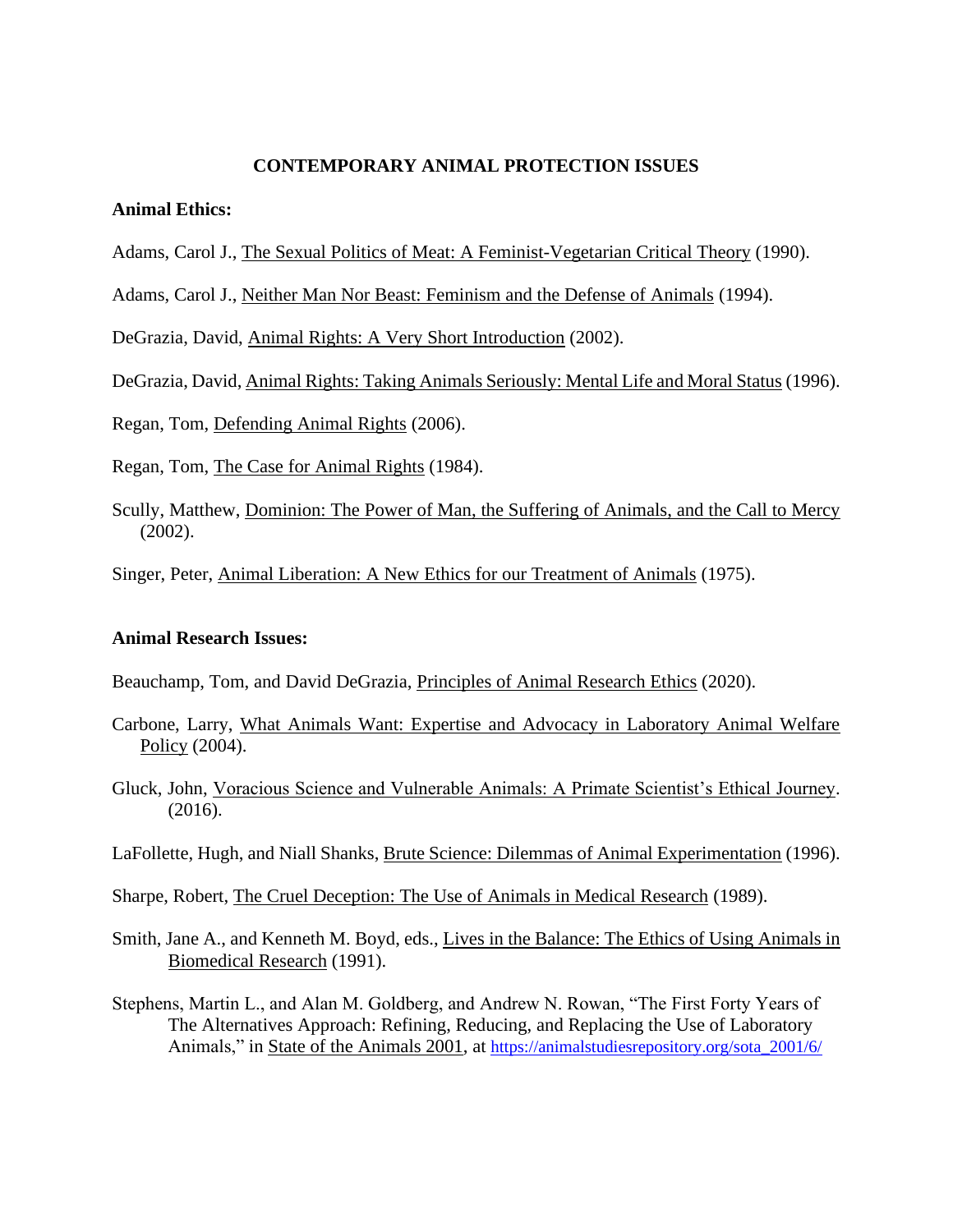#### **CONTEMPORARY ANIMAL PROTECTION ISSUES**

#### **Animal Ethics:**

Adams, Carol J., The Sexual Politics of Meat: A Feminist-Vegetarian Critical Theory (1990).

Adams, Carol J., Neither Man Nor Beast: Feminism and the Defense of Animals (1994).

DeGrazia, David, Animal Rights: A Very Short Introduction (2002).

DeGrazia, David, Animal Rights: Taking Animals Seriously: Mental Life and Moral Status (1996).

Regan, Tom, Defending Animal Rights (2006).

Regan, Tom, The Case for Animal Rights (1984).

Scully, Matthew, Dominion: The Power of Man, the Suffering of Animals, and the Call to Mercy (2002).

Singer, Peter, Animal Liberation: A New Ethics for our Treatment of Animals (1975).

#### **Animal Research Issues:**

Beauchamp, Tom, and David DeGrazia, Principles of Animal Research Ethics (2020).

- Carbone, Larry, What Animals Want: Expertise and Advocacy in Laboratory Animal Welfare Policy (2004).
- Gluck, John, Voracious Science and Vulnerable Animals: A Primate Scientist's Ethical Journey. (2016).
- LaFollette, Hugh, and Niall Shanks, Brute Science: Dilemmas of Animal Experimentation (1996).

Sharpe, Robert, The Cruel Deception: The Use of Animals in Medical Research (1989).

- Smith, Jane A., and Kenneth M. Boyd, eds., Lives in the Balance: The Ethics of Using Animals in Biomedical Research (1991).
- Stephens, Martin L., and Alan M. Goldberg, and Andrew N. Rowan, "The First Forty Years of The Alternatives Approach: Refining, Reducing, and Replacing the Use of Laboratory Animals," in State of the Animals 2001, at [https://animalstudiesrepository.org/sota\\_2001/6/](https://animalstudiesrepository.org/sota_2001/6/)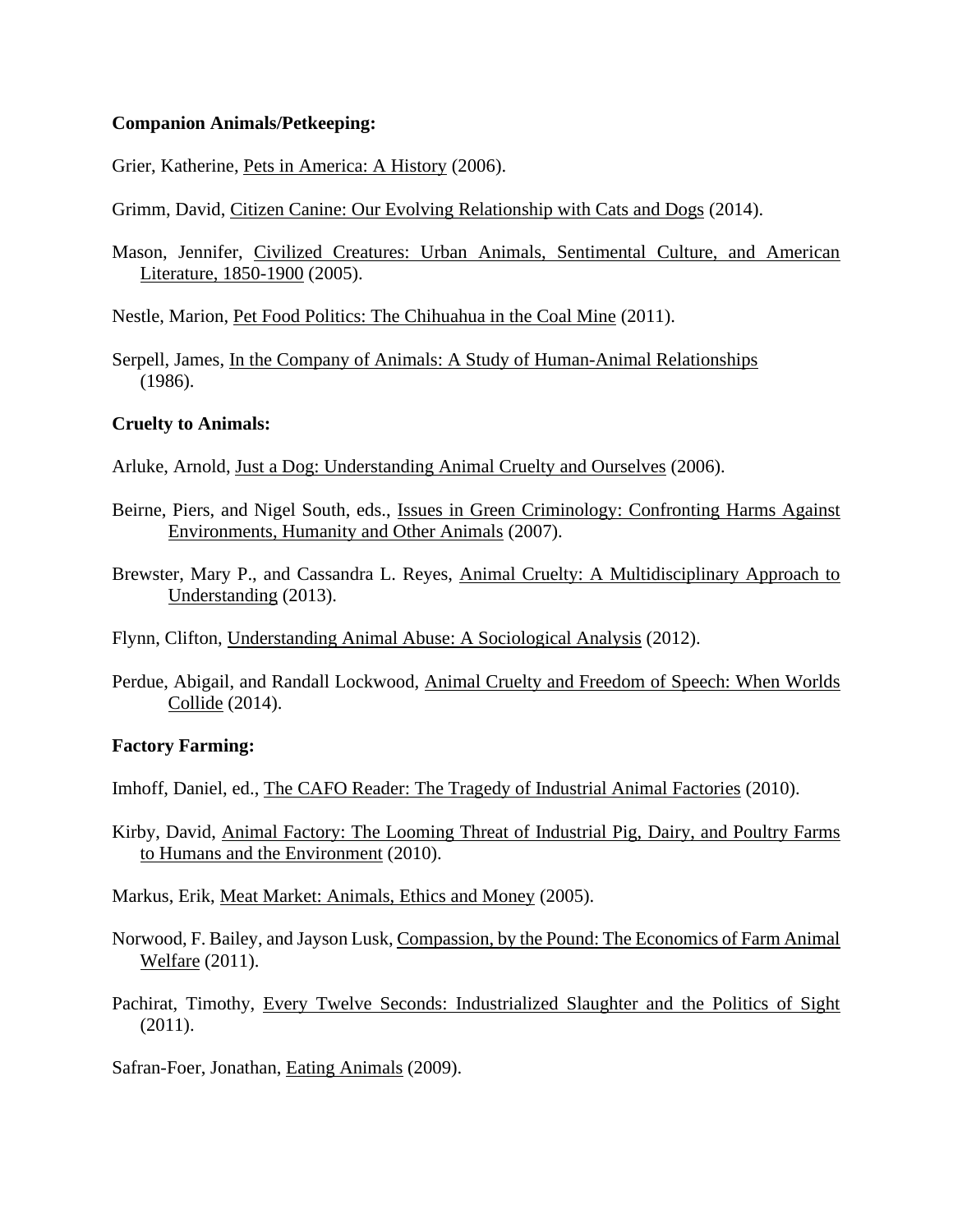#### **Companion Animals/Petkeeping:**

Grier, Katherine, Pets in America: A History (2006).

Grimm, David, Citizen Canine: Our Evolving Relationship with Cats and Dogs (2014).

Mason, Jennifer, Civilized Creatures: Urban Animals, Sentimental Culture, and American Literature, 1850-1900 (2005).

Nestle, Marion, Pet Food Politics: The Chihuahua in the Coal Mine (2011).

Serpell, James, In the Company of Animals: A Study of Human-Animal Relationships (1986).

# **Cruelty to Animals:**

Arluke, Arnold, Just a Dog: Understanding Animal Cruelty and Ourselves (2006).

- Beirne, Piers, and Nigel South, eds., Issues in Green Criminology: Confronting Harms Against Environments, Humanity and Other Animals (2007).
- Brewster, Mary P., and Cassandra L. Reyes, Animal Cruelty: A Multidisciplinary Approach to Understanding (2013).

Flynn, Clifton, Understanding Animal Abuse: A Sociological Analysis (2012).

Perdue, Abigail, and Randall Lockwood, Animal Cruelty and Freedom of Speech: When Worlds Collide (2014).

# **Factory Farming:**

Imhoff, Daniel, ed., The CAFO Reader: The Tragedy of Industrial Animal Factories (2010).

Kirby, David, Animal Factory: The Looming Threat of Industrial Pig, Dairy, and Poultry Farms to Humans and the Environment (2010).

Markus, Erik, Meat Market: Animals, Ethics and Money (2005).

- Norwood, F. Bailey, and Jayson Lusk, Compassion, by the Pound: The Economics of Farm Animal Welfare (2011).
- Pachirat, Timothy, Every Twelve Seconds: Industrialized Slaughter and the Politics of Sight (2011).

Safran-Foer, Jonathan, Eating Animals (2009).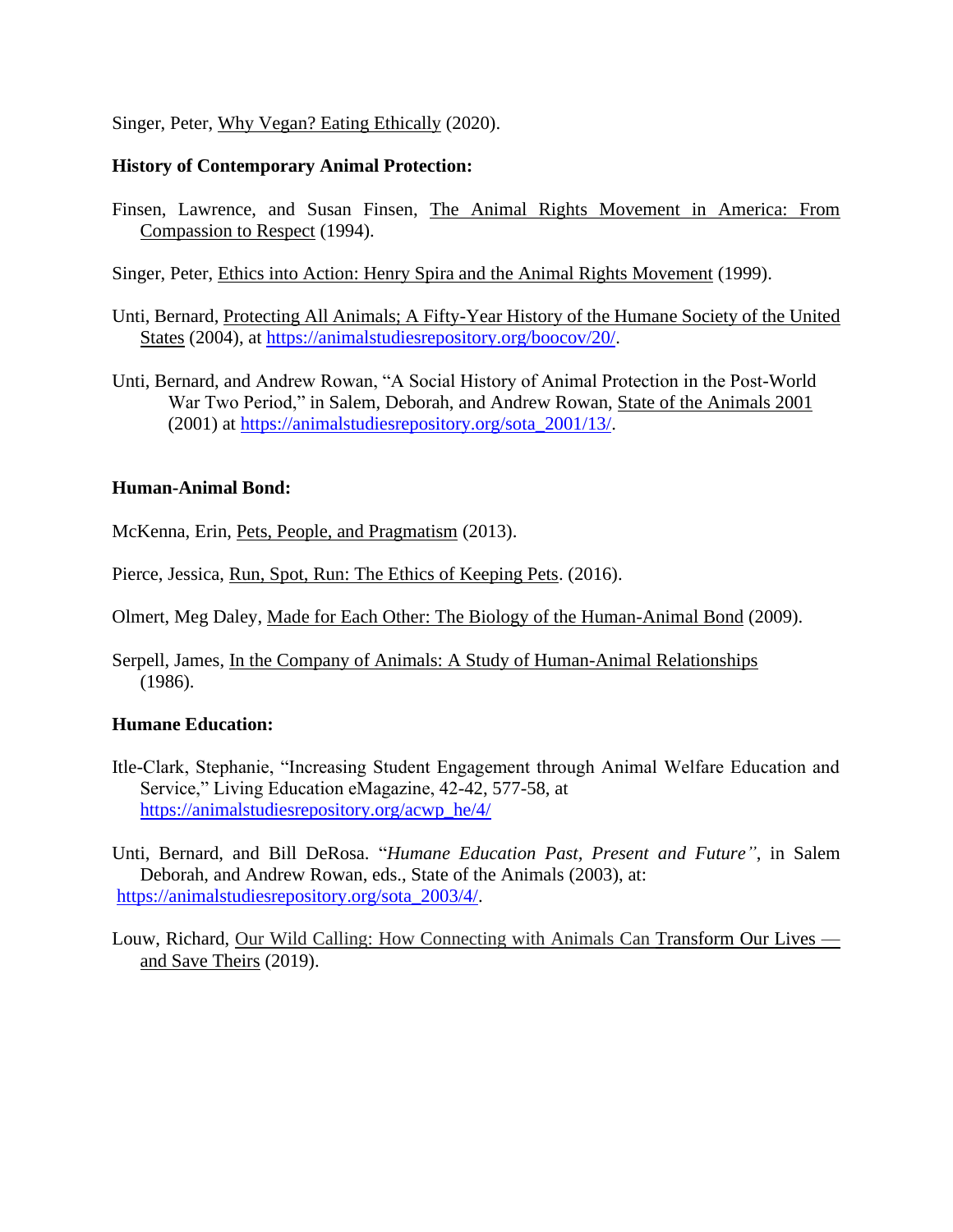## Singer, Peter, Why Vegan? Eating Ethically (2020).

## **History of Contemporary Animal Protection:**

Finsen, Lawrence, and Susan Finsen, The Animal Rights Movement in America: From Compassion to Respect (1994).

Singer, Peter, Ethics into Action: Henry Spira and the Animal Rights Movement (1999).

- Unti, Bernard, Protecting All Animals; A Fifty-Year History of the Humane Society of the United States (2004), at [https://animalstudiesrepository.org/boocov/20/.](https://animalstudiesrepository.org/boocov/20/)
- Unti, Bernard, and Andrew Rowan, "A Social History of Animal Protection in the Post-World War Two Period," in Salem, Deborah, and Andrew Rowan, State of the Animals 2001 (2001) at [https://animalstudiesrepository.org/sota\\_2001/13/.](https://animalstudiesrepository.org/sota_2001/13/)

# **Human-Animal Bond:**

McKenna, Erin, Pets, People, and Pragmatism (2013).

Pierce, Jessica, Run, Spot, Run: The Ethics of Keeping Pets. (2016).

Olmert, Meg Daley, Made for Each Other: The Biology of the Human-Animal Bond (2009).

Serpell, James, In the Company of Animals: A Study of Human-Animal Relationships (1986).

### **Humane Education:**

Itle-Clark, Stephanie, "Increasing Student Engagement through Animal Welfare Education and Service," Living Education eMagazine, 42-42, 577-58, at [https://animalstudiesrepository.org/acwp\\_he/4/](https://animalstudiesrepository.org/acwp_he/4/)

Unti, Bernard, and Bill DeRosa. "*Humane Education Past, Present and Future"*, in Salem Deborah, and Andrew Rowan, eds., State of the Animals (2003), at: [https://animalstudiesrepository.org/sota\\_2003/4/.](https://animalstudiesrepository.org/sota_2003/4/)

Louw, Richard, Our Wild Calling: How Connecting with Animals Can Transform Our Lives and Save Theirs (2019).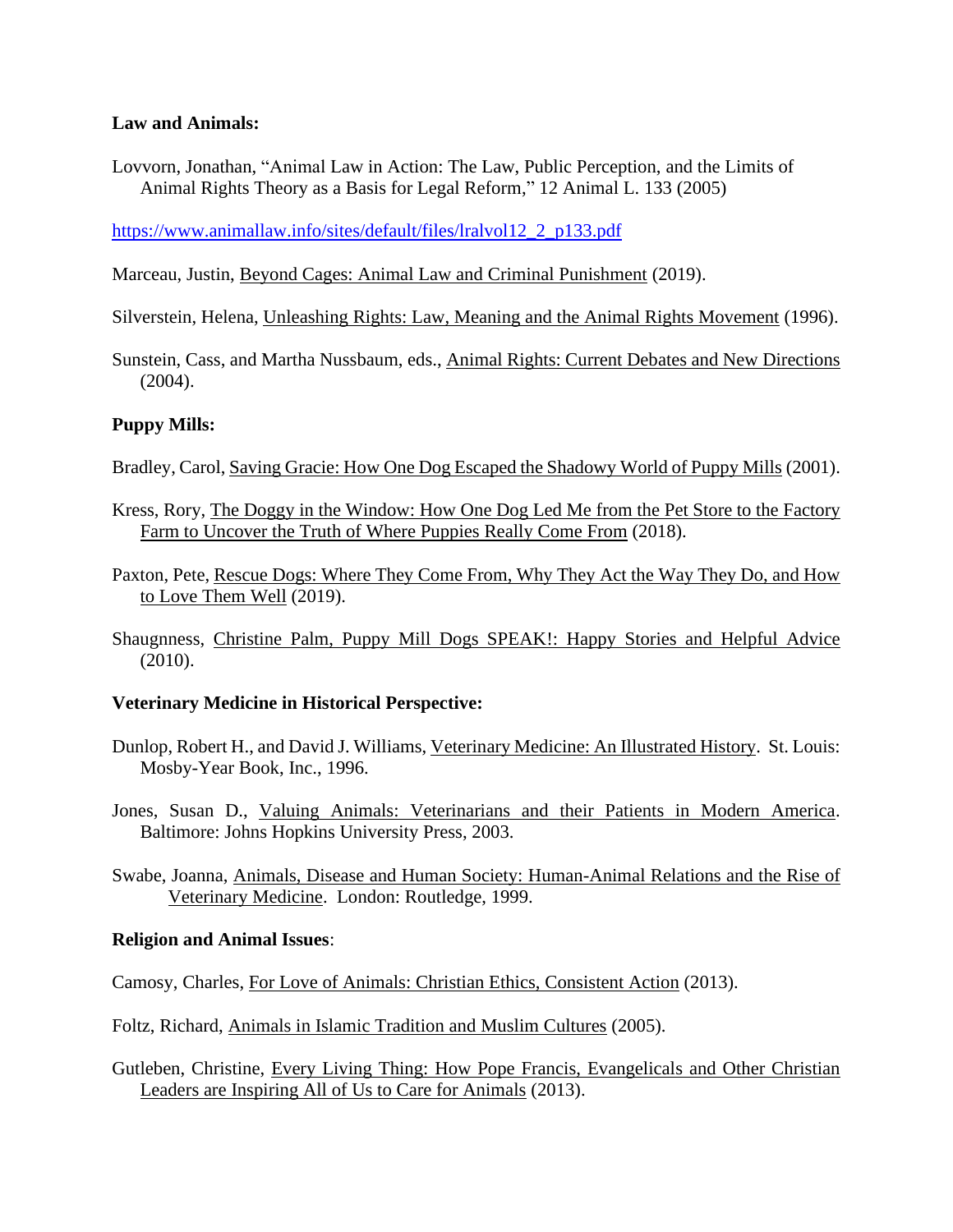# **Law and Animals:**

Lovvorn, Jonathan, "Animal Law in Action: The Law, Public Perception, and the Limits of Animal Rights Theory as a Basis for Legal Reform," 12 Animal L. 133 (2005)

[https://www.animallaw.info/sites/default/files/lralvol12\\_2\\_p133.pdf](https://www.animallaw.info/sites/default/files/lralvol12_2_p133.pdf)

Marceau, Justin, Beyond Cages: Animal Law and Criminal Punishment (2019).

Silverstein, Helena, Unleashing Rights: Law, Meaning and the Animal Rights Movement (1996).

Sunstein, Cass, and Martha Nussbaum, eds., Animal Rights: Current Debates and New Directions (2004).

# **Puppy Mills:**

- Bradley, Carol, Saving Gracie: How One Dog Escaped the Shadowy World of Puppy Mills (2001).
- Kress, Rory, The Doggy in the Window: How One Dog Led Me from the Pet Store to the Factory Farm to Uncover the Truth of Where Puppies Really Come From (2018).
- Paxton, Pete, Rescue Dogs: Where They Come From, Why They Act the Way They Do, and How to Love Them Well (2019).
- Shaugnness, Christine Palm, Puppy Mill Dogs SPEAK!: Happy Stories and Helpful Advice (2010).

### **Veterinary Medicine in Historical Perspective:**

- Dunlop, Robert H., and David J. Williams, Veterinary Medicine: An Illustrated History. St. Louis: Mosby-Year Book, Inc., 1996.
- Jones, Susan D., Valuing Animals: Veterinarians and their Patients in Modern America. Baltimore: Johns Hopkins University Press, 2003.
- Swabe, Joanna, Animals, Disease and Human Society: Human-Animal Relations and the Rise of Veterinary Medicine. London: Routledge, 1999.

# **Religion and Animal Issues**:

Camosy, Charles, For Love of Animals: Christian Ethics, Consistent Action (2013).

Foltz, Richard, Animals in Islamic Tradition and Muslim Cultures (2005).

Gutleben, Christine, Every Living Thing: How Pope Francis, Evangelicals and Other Christian Leaders are Inspiring All of Us to Care for Animals (2013).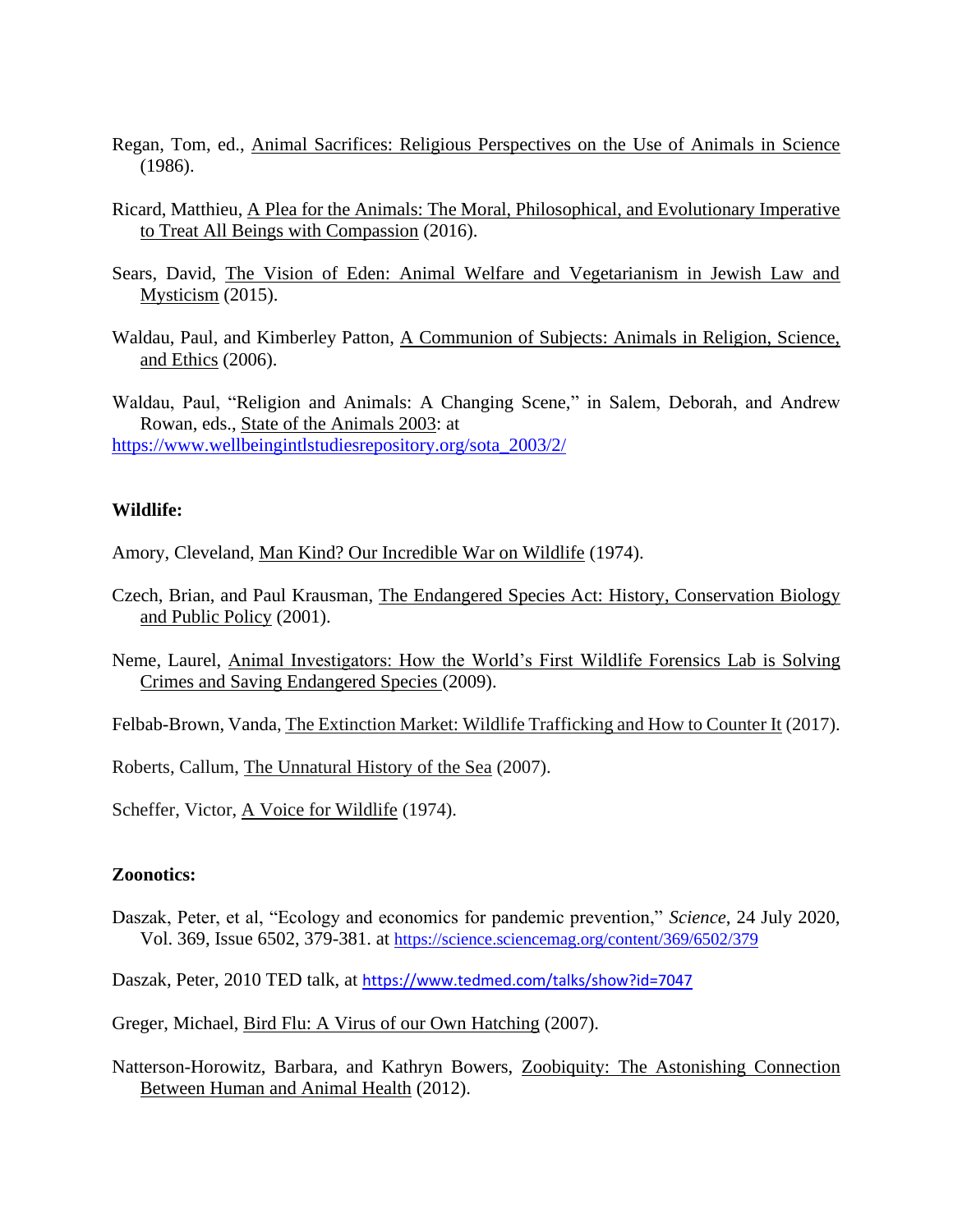- Regan, Tom, ed., Animal Sacrifices: Religious Perspectives on the Use of Animals in Science (1986).
- Ricard, Matthieu, A Plea for the Animals: The Moral, Philosophical, and Evolutionary Imperative to Treat All Beings with Compassion (2016).
- Sears, David, The Vision of Eden: Animal Welfare and Vegetarianism in Jewish Law and Mysticism (2015).
- Waldau, Paul, and Kimberley Patton, A Communion of Subjects: Animals in Religion, Science, and Ethics (2006).

Waldau, Paul, "Religion and Animals: A Changing Scene," in Salem, Deborah, and Andrew Rowan, eds., State of the Animals 2003: at [https://www.wellbeingintlstudiesrepository.org/sota\\_2003/2/](https://www.wellbeingintlstudiesrepository.org/sota_2003/2/)

#### **Wildlife:**

Amory, Cleveland, Man Kind? Our Incredible War on Wildlife (1974).

- Czech, Brian, and Paul Krausman, The Endangered Species Act: History, Conservation Biology and Public Policy (2001).
- Neme, Laurel, Animal Investigators: How the World's First Wildlife Forensics Lab is Solving Crimes and Saving Endangered Species (2009).

Felbab-Brown, Vanda, The Extinction Market: Wildlife Trafficking and How to Counter It (2017).

Roberts, Callum, The Unnatural History of the Sea (2007).

Scheffer, Victor, A Voice for Wildlife (1974).

# **Zoonotics:**

Daszak, Peter, et al, "Ecology and economics for pandemic prevention," *Science*, 24 July 2020, Vol. 369, Issue 6502, 379-381. at <https://science.sciencemag.org/content/369/6502/379>

Daszak, Peter, 2010 TED talk, at <https://www.tedmed.com/talks/show?id=7047>

Greger, Michael, Bird Flu: A Virus of our Own Hatching (2007).

Natterson-Horowitz, Barbara, and Kathryn Bowers, Zoobiquity: The Astonishing Connection Between Human and Animal Health (2012).